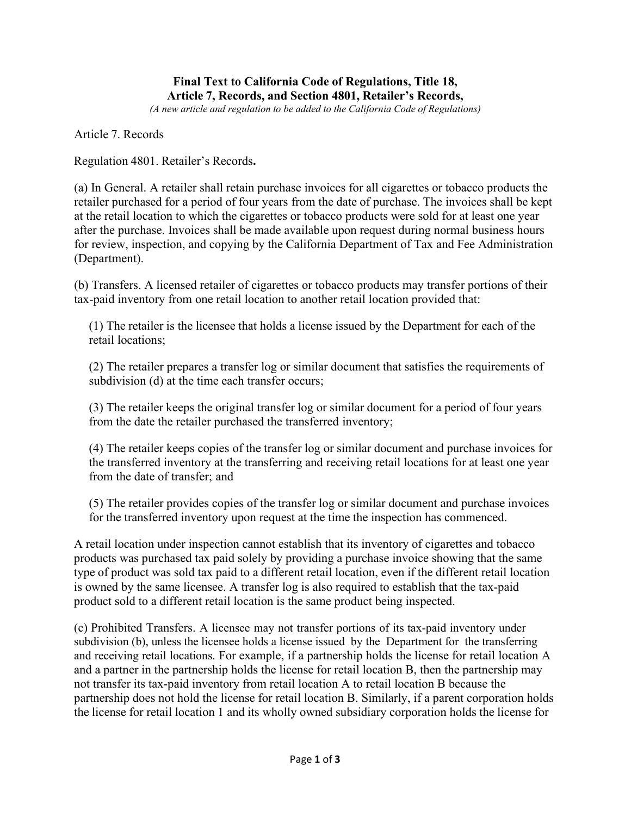## **Final Text to California Code of Regulations, Title 18, Article 7, Records, and Section 4801, Retailer's Records,**

*(A new article and regulation to be added to the California Code of Regulations)*

Article 7. Records

Regulation 4801. Retailer's Records**.** 

(a) In General. A retailer shall retain purchase invoices for all cigarettes or tobacco products the retailer purchased for a period of four years from the date of purchase. The invoices shall be kept at the retail location to which the cigarettes or tobacco products were sold for at least one year after the purchase. Invoices shall be made available upon request during normal business hours for review, inspection, and copying by the California Department of Tax and Fee Administration (Department).

(b) Transfers. A licensed retailer of cigarettes or tobacco products may transfer portions of their tax-paid inventory from one retail location to another retail location provided that:

(1) The retailer is the licensee that holds a license issued by the Department for each of the retail locations;

(2) The retailer prepares a transfer log or similar document that satisfies the requirements of subdivision (d) at the time each transfer occurs;

(3) The retailer keeps the original transfer log or similar document for a period of four years from the date the retailer purchased the transferred inventory;

(4) The retailer keeps copies of the transfer log or similar document and purchase invoices for the transferred inventory at the transferring and receiving retail locations for at least one year from the date of transfer; and

(5) The retailer provides copies of the transfer log or similar document and purchase invoices for the transferred inventory upon request at the time the inspection has commenced.

A retail location under inspection cannot establish that its inventory of cigarettes and tobacco products was purchased tax paid solely by providing a purchase invoice showing that the same type of product was sold tax paid to a different retail location, even if the different retail location is owned by the same licensee. A transfer log is also required to establish that the tax-paid product sold to a different retail location is the same product being inspected.

(c) Prohibited Transfers. A licensee may not transfer portions of its tax-paid inventory under subdivision (b), unless the licensee holds a license issued by the Department for the transferring and receiving retail locations. For example, if a partnership holds the license for retail location A and a partner in the partnership holds the license for retail location B, then the partnership may not transfer its tax-paid inventory from retail location A to retail location B because the partnership does not hold the license for retail location B. Similarly, if a parent corporation holds the license for retail location 1 and its wholly owned subsidiary corporation holds the license for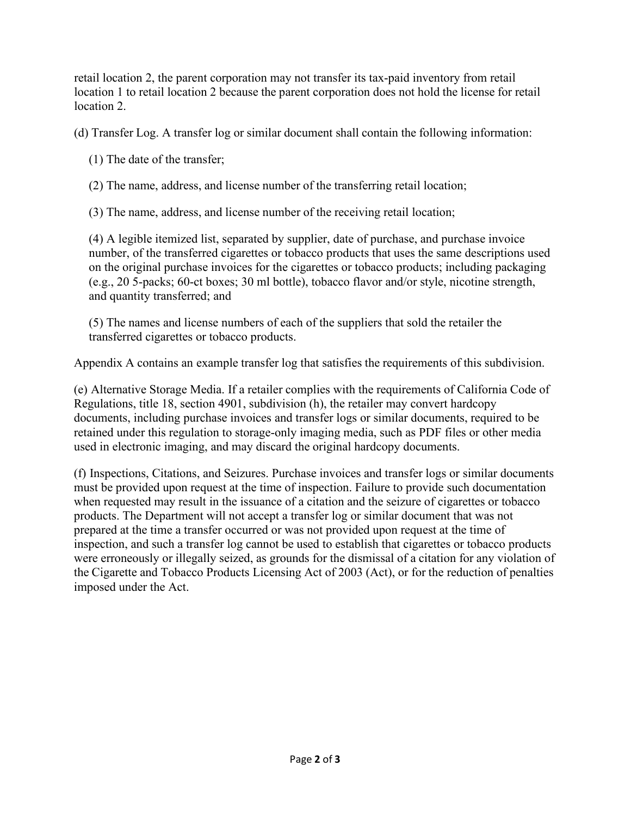retail location 2, the parent corporation may not transfer its tax-paid inventory from retail location 1 to retail location 2 because the parent corporation does not hold the license for retail location 2.

(d) Transfer Log. A transfer log or similar document shall contain the following information:

(1) The date of the transfer;

(2) The name, address, and license number of the transferring retail location;

(3) The name, address, and license number of the receiving retail location;

(4) A legible itemized list, separated by supplier, date of purchase, and purchase invoice number, of the transferred cigarettes or tobacco products that uses the same descriptions used on the original purchase invoices for the cigarettes or tobacco products; including packaging (e.g., 20 5-packs; 60-ct boxes; 30 ml bottle), tobacco flavor and/or style, nicotine strength, and quantity transferred; and

(5) The names and license numbers of each of the suppliers that sold the retailer the transferred cigarettes or tobacco products.

Appendix A contains an example transfer log that satisfies the requirements of this subdivision.

(e) Alternative Storage Media. If a retailer complies with the requirements of California Code of Regulations, title 18, section 4901, subdivision (h), the retailer may convert hardcopy documents, including purchase invoices and transfer logs or similar documents, required to be retained under this regulation to storage-only imaging media, such as PDF files or other media used in electronic imaging, and may discard the original hardcopy documents.

(f) Inspections, Citations, and Seizures. Purchase invoices and transfer logs or similar documents must be provided upon request at the time of inspection. Failure to provide such documentation when requested may result in the issuance of a citation and the seizure of cigarettes or tobacco products. The Department will not accept a transfer log or similar document that was not prepared at the time a transfer occurred or was not provided upon request at the time of inspection, and such a transfer log cannot be used to establish that cigarettes or tobacco products were erroneously or illegally seized, as grounds for the dismissal of a citation for any violation of the Cigarette and Tobacco Products Licensing Act of 2003 (Act), or for the reduction of penalties imposed under the Act.